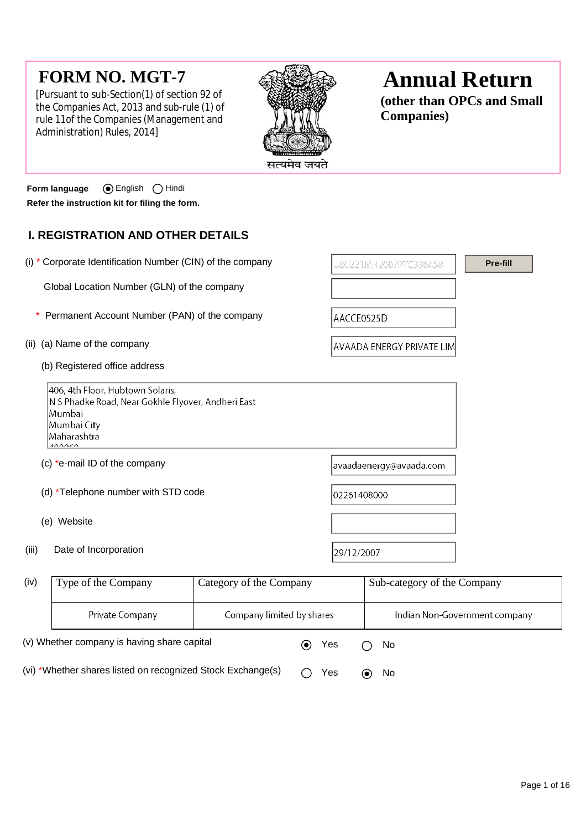# **FORM NO. MGT-7**

[Pursuant to sub-Section(1) of section 92 of the Companies Act, 2013 and sub-rule (1) of rule 11of the Companies (Management and Administration) Rules, 2014]



# **Annual Return**

**(other than OPCs and Small Companies)**

**Form language** English Hindi **Refer the instruction kit for filing the form.**

# **I. REGISTRATION AND OTHER DETAILS**

| (i) * Corporate Identification Number (CIN) of the company                                                                               |                                                  |                                                                                                       | Pre-fill |
|------------------------------------------------------------------------------------------------------------------------------------------|--------------------------------------------------|-------------------------------------------------------------------------------------------------------|----------|
| Global Location Number (GLN) of the company                                                                                              |                                                  |                                                                                                       |          |
| Permanent Account Number (PAN) of the company                                                                                            |                                                  | AACCE0525D                                                                                            |          |
| (ii) (a) Name of the company                                                                                                             |                                                  | <b>AVAADA ENERGY PRIVATE LIM</b>                                                                      |          |
| (b) Registered office address                                                                                                            |                                                  |                                                                                                       |          |
| 406, 4th Floor, Hubtown Solaris,<br>N S Phadke Road, Near Gokhle Flyover, Andheri East<br>Mumbai<br>Mumbai City<br>Maharashtra<br>100050 |                                                  |                                                                                                       |          |
| (c) *e-mail ID of the company                                                                                                            |                                                  | avaadaenergy@avaada.com                                                                               |          |
| (d) *Telephone number with STD code                                                                                                      |                                                  | 02261408000                                                                                           |          |
| (e) Website                                                                                                                              |                                                  |                                                                                                       |          |
| (iii)<br>Date of Incorporation                                                                                                           |                                                  | 29/12/2007                                                                                            |          |
| $\int$ iv $\Lambda$<br>$T_{\text{max}}$ of the Commons                                                                                   | $C_{\text{shearum}}$ of the $C_{\text{shearum}}$ | $C_{\alpha}$ $\alpha$ as $\alpha$ $\alpha$ $\beta$ $\alpha$ $\beta$ $\beta$ $\alpha$ $\beta$ $\alpha$ |          |

| (iv)                                                        | Type of the Company    | Category of the Company   |  | Sub-category of the Company |                               |
|-------------------------------------------------------------|------------------------|---------------------------|--|-----------------------------|-------------------------------|
|                                                             | <b>Private Company</b> | Company limited by shares |  |                             | Indian Non-Government company |
| (v) Whether company is having share capital                 |                        |                           |  | Yes                         | No.                           |
| (vi) *Whether shares listed on recognized Stock Exchange(s) |                        |                           |  | Yes                         | <b>No</b>                     |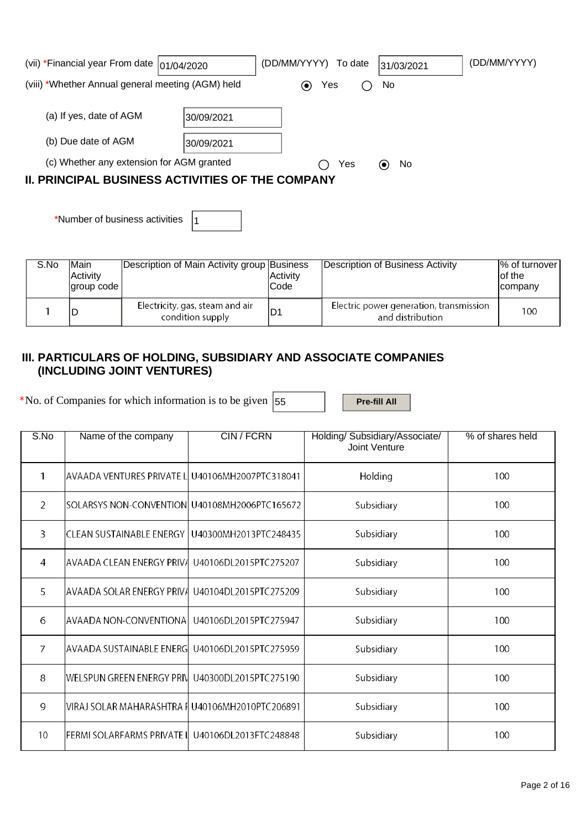| (vii) *Financial year From date $ 01/04/2020 $          |            | (DD/MM/YYYY) To date |                                 | 31/03/2021 | (DD/MM/YYYY) |
|---------------------------------------------------------|------------|----------------------|---------------------------------|------------|--------------|
| (viii) *Whether Annual general meeting (AGM) held       |            |                      | Yes                             | No         |              |
|                                                         |            |                      |                                 |            |              |
| (a) If yes, date of AGM                                 | 30/09/2021 |                      |                                 |            |              |
|                                                         |            |                      |                                 |            |              |
| (b) Due date of AGM                                     | 30/09/2021 |                      |                                 |            |              |
| (c) Whether any extension for AGM granted               |            | Yes                  | No.<br>$\left( \bullet \right)$ |            |              |
| <b>II. PRINCIPAL BUSINESS ACTIVITIES OF THE COMPANY</b> |            |                      |                                 |            |              |

\*Number of business activities  $|_1$ 

| S.No | <b>Main</b><br>Activity<br>lgroup code l | Description of Main Activity group Business         | IActivitv<br>lCode | Description of Business Activity                            | % of turnover<br>lof the<br><b>Icompany</b> |
|------|------------------------------------------|-----------------------------------------------------|--------------------|-------------------------------------------------------------|---------------------------------------------|
|      |                                          | Electricity, gas, steam and air<br>condition supply |                    | Electric power generation, transmission<br>and distribution | 100                                         |

### **III. PARTICULARS OF HOLDING, SUBSIDIARY AND ASSOCIATE COMPANIES (INCLUDING JOINT VENTURES)**

\*No. of Companies for which information is to be given  $\left|55\right\rangle$  **Pre-fill All** 

| S.No           | Name of the company                             | <b>CIN/FCRN</b>       | Holding/ Subsidiary/Associate/<br>Joint Venture | % of shares held |
|----------------|-------------------------------------------------|-----------------------|-------------------------------------------------|------------------|
| 1              | AVAADA VENTURES PRIVATE L U40106MH2007PTC318041 |                       | Holding                                         | 100              |
| $\overline{2}$ | SOLARSYS NON-CONVENTION U40108MH2006PTC165672   |                       | Subsidiary                                      | 100              |
| 3              | CLEAN SUSTAINABLE ENERGY                        | U40300MH2013PTC248435 | Subsidiary                                      | 100              |
| 4              | <b>AVAADA CLEAN ENERGY PRIVA</b>                | U40106DL2015PTC275207 | Subsidiary                                      | 100              |
| 5              | AVAADA SOLAR ENERGY PRIVA                       | U40104DL2015PTC275209 | Subsidiary                                      | 100              |
| 6              | AVAADA NON-CONVENTIONA                          | U40106DL2015PTC275947 | Subsidiary                                      | 100              |
| $\overline{7}$ | <b>AVAADA SUSTAINABLE ENERGI</b>                | U40106DL2015PTC275959 | Subsidiary                                      | 100              |
| 8              | <b>WELSPUN GREEN ENERGY PRIV</b>                | U40300DL2015PTC275190 | Subsidiary                                      | 100              |
| 9              | VIRAJ SOLAR MAHARASHTRA I U40106MH2010PTC206891 |                       | Subsidiary                                      | 100              |
| 10             | FERMI SOLARFARMS PRIVATE II                     | U40106DL2013FTC248848 | Subsidiary                                      | 100              |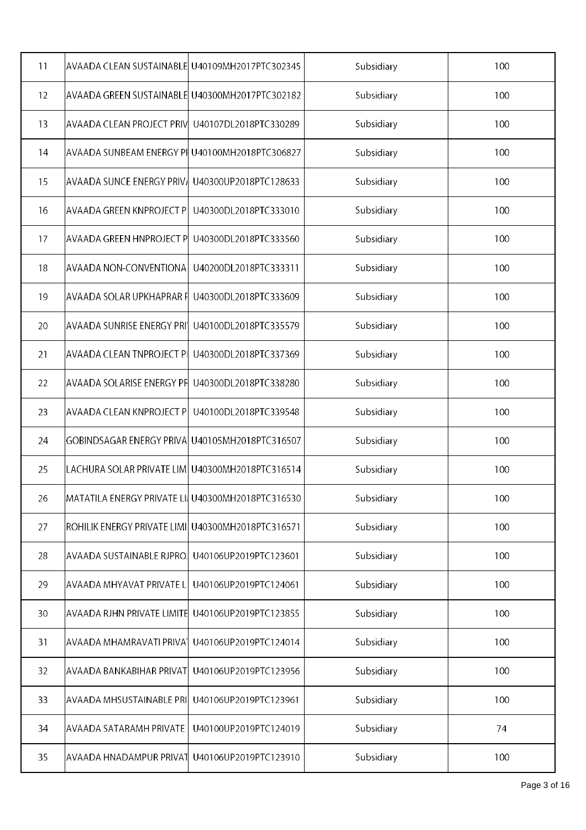| 11                | AVAADA CLEAN SUSTAINABLE  U40109MH2017PTC302345    |                       | Subsidiary | 100 |
|-------------------|----------------------------------------------------|-----------------------|------------|-----|
| $12 \overline{ }$ | AVAADA GREEN SUSTAINABLE  U40300MH2017PTC302182    |                       | Subsidiary | 100 |
| 13                | <b>AVAADA CLEAN PROJECT PRIV</b>                   | U40107DL2018PTC330289 | Subsidiary | 100 |
| 14                | AVAADA SUNBEAM ENERGY PI U40100MH2018PTC306827     |                       | Subsidiary | 100 |
| 15                | AVAADA SUNCE ENERGY PRIV』                          | U40300UP2018PTC128633 | Subsidiary | 100 |
| 16                | AVAADA GREEN KNPROJECT P                           | U40300DL2018PTC333010 | Subsidiary | 100 |
| 17                | AVAADA GREEN HNPROJECT P                           | U40300DL2018PTC333560 | Subsidiary | 100 |
| 18                | AVAADA NON-CONVENTIONA                             | U40200DL2018PTC333311 | Subsidiary | 100 |
| 19                | AVAADA SOLAR UPKHAPRAR F                           | U40300DL2018PTC333609 | Subsidiary | 100 |
| 20                | AVAADA SUNRISE ENERGY PRI'                         | U40100DL2018PTC335579 | Subsidiary | 100 |
| 21                | <b>AVAADA CLEAN TNPROJECT PI</b>                   | U40300DL2018PTC337369 | Subsidiary | 100 |
| 22                | AVAADA SOLARISE ENERGY PF                          | U40300DL2018PTC338280 | Subsidiary | 100 |
| 23                | AVAADA CLEAN KNPROJECT P                           | U40100DL2018PTC339548 | Subsidiary | 100 |
| 24                | GOBINDSAGAR ENERGY PRIVA                           | U40105MH2018PTC316507 | Subsidiary | 100 |
| 25                | LACHURA SOLAR PRIVATE LIM  U40300MH2018PTC316514   |                       | Subsidiary | 100 |
| 26                | MATATILA ENERGY PRIVATE LI U40300MH2018PTC316530   |                       | Subsidiary | 100 |
| 27                | ROHILIK ENERGY PRIVATE LIMI  U40300MH2018PTC316571 |                       | Subsidiary | 100 |
| 28                | AVAADA SUSTAINABLE RJPRO.                          | U40106UP2019PTC123601 | Subsidiary | 100 |
| 29                | AVAADA MHYAVAT PRIVATE L                           | U40106UP2019PTC124061 | Subsidiary | 100 |
| 30                | AVAADA RJHN PRIVATE LIMITE                         | U40106UP2019PTC123855 | Subsidiary | 100 |
| 31                | AVAADA MHAMRAVATI PRIVAT                           | U40106UP2019PTC124014 | Subsidiary | 100 |
| 32                | AVAADA BANKABIHAR PRIVAT                           | U40106UP2019PTC123956 | Subsidiary | 100 |
| 33                | AVAADA MHSUSTAINABLE PRI                           | U40106UP2019PTC123961 | Subsidiary | 100 |
| 34                | AVAADA SATARAMH PRIVATE                            | U40100UP2019PTC124019 | Subsidiary | 74  |
| 35                | AVAADA HNADAMPUR PRIVAT                            | U40106UP2019PTC123910 | Subsidiary | 100 |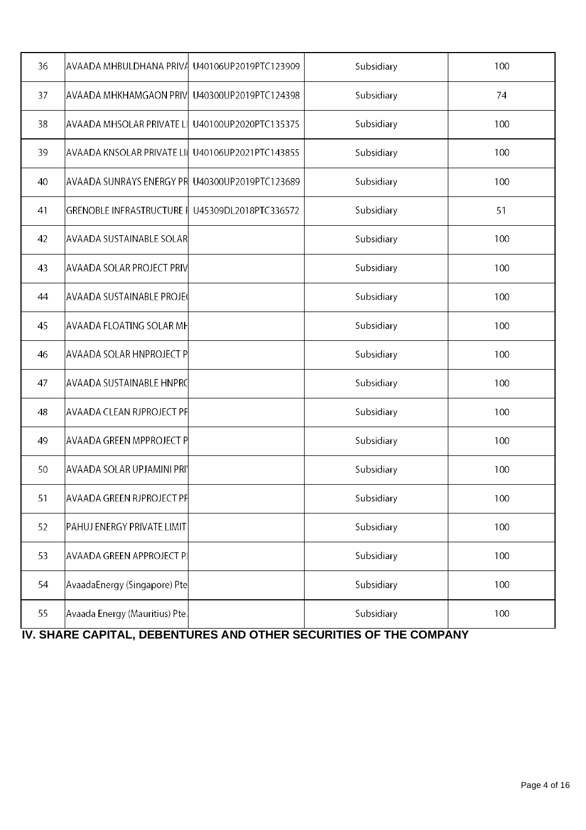| 36 | AVAADA MHBULDHANA PRIVA                               | U40106UP2019PTC123909 | Subsidiary | 100 |
|----|-------------------------------------------------------|-----------------------|------------|-----|
| 37 | AVAADA MHKHAMGAON PRIV                                | U40300UP2019PTC124398 | Subsidiary | 74  |
| 38 | AVAADA MHSOLAR PRIVATE LI                             | U40100UP2020PTC135375 | Subsidiary | 100 |
| 39 | AVAADA KNSOLAR PRIVATE LII U40106UP2021PTC143855      |                       | Subsidiary | 100 |
| 40 | AVAADA SUNRAYS ENERGY PR $\mid$ U40300UP2019PTC123689 |                       | Subsidiary | 100 |
| 41 | GRENOBLE INFRASTRUCTURE I U45309DL2018PTC336572       |                       | Subsidiary | 51  |
| 42 | <b>AVAADA SUSTAINABLE SOLAR</b>                       |                       | Subsidiary | 100 |
| 43 | AVAADA SOLAR PROJECT PRIV                             |                       | Subsidiary | 100 |
| 44 | <b>AVAADA SUSTAINABLE PROJE</b>                       |                       | Subsidiary | 100 |
| 45 | AVAADA FLOATING SOLAR MF                              |                       | Subsidiary | 100 |
| 46 | <b>AVAADA SOLAR HNPROJECT P</b>                       |                       | Subsidiary | 100 |
| 47 | AVAADA SUSTAINABLE HNPRC                              |                       | Subsidiary | 100 |
| 48 | AVAADA CLEAN RJPROJECT PF                             |                       | Subsidiary | 100 |
| 49 | AVAADA GREEN MPPROJECT P                              |                       | Subsidiary | 100 |
| 50 | AVAADA SOLAR UPJAMINI PRI'                            |                       | Subsidiary | 100 |
| 51 | AVAADA GREEN RJPROJECT PF                             |                       | Subsidiary | 100 |
| 52 | PAHUJ ENERGY PRIVATE LIMIT                            |                       | Subsidiary | 100 |
| 53 | <b>AVAADA GREEN APPROJECT PI</b>                      |                       | Subsidiary | 100 |
| 54 | AvaadaEnergy (Singapore) Pte                          |                       | Subsidiary | 100 |
| 55 | Avaada Energy (Mauritius) Pte.                        |                       | Subsidiary | 100 |

 **IV. SHARE CAPITAL, DEBENTURES AND OTHER SECURITIES OF THE COMPANY**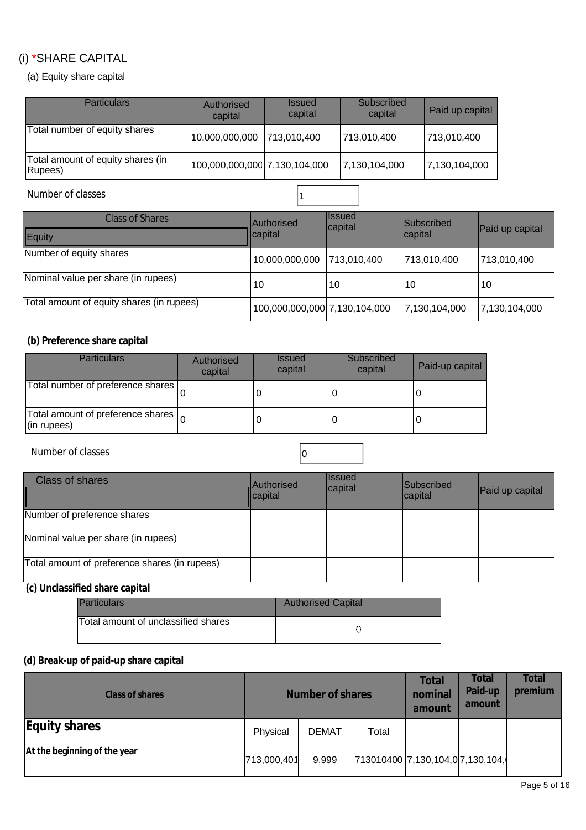# (i) \*SHARE CAPITAL

(a) Equity share capital

| <b>Particulars</b>                            | Authorised<br>capital         | <b>Issued</b><br>capital | Subscribed<br>capital | Paid up capital |
|-----------------------------------------------|-------------------------------|--------------------------|-----------------------|-----------------|
| Total number of equity shares                 | 10,000,000,000                | 713,010,400              | 713,010,400           | 713,010,400     |
| Total amount of equity shares (in<br>(Rupees) | 100,000,000,000 7,130,104,000 |                          | 7,130,104,000         | 7,130,104,000   |

## Number of classes 1

| Class of Shares<br>Equity                 | <b>Authorised</b><br>capital  | <b>Ilssued</b><br>capital | <b>Subscribed</b><br>capital | Paid up capital |
|-------------------------------------------|-------------------------------|---------------------------|------------------------------|-----------------|
| Number of equity shares                   | 10,000,000,000                | 713.010.400               | 713,010,400                  | 713,010,400     |
| Nominal value per share (in rupees)       | 10                            | 10                        | 10                           | 10              |
| Total amount of equity shares (in rupees) | 100,000,000,000 7,130,104,000 |                           | 7,130,104,000                | 7,130,104,000   |

#### **(b) Preference share capital**

| <b>Particulars</b>                                                    | Authorised<br>capital | <b>Issued</b><br>capital | Subscribed<br>capital | Paid-up capital |
|-----------------------------------------------------------------------|-----------------------|--------------------------|-----------------------|-----------------|
| Total number of preference shares                                     |                       |                          |                       |                 |
| Total amount of preference shares $\vert_{\Omega}$<br>$ $ (in rupees) |                       |                          |                       |                 |

Number of classes and contact the contact of classes of  $\overline{0}$ 

| <b>Class of shares</b>                        | <b>Authorised</b><br>capital | <b>Ilssued</b><br>capital | <b>Subscribed</b><br>capital | Paid up capital |
|-----------------------------------------------|------------------------------|---------------------------|------------------------------|-----------------|
| Number of preference shares                   |                              |                           |                              |                 |
| Nominal value per share (in rupees)           |                              |                           |                              |                 |
| Total amount of preference shares (in rupees) |                              |                           |                              |                 |

### **(c) Unclassified share capital**

| Particulars                         | <b>Authorised Capital</b> |
|-------------------------------------|---------------------------|
| Total amount of unclassified shares |                           |

## **(d) Break-up of paid-up share capital**

| <b>Class of shares</b>       | <b>Number of shares</b> |              |                                  | <b>Total</b><br>nominal<br>amount | Total<br>Paid-up<br>amount | <b>Total</b><br>premium |
|------------------------------|-------------------------|--------------|----------------------------------|-----------------------------------|----------------------------|-------------------------|
| <b>Equity shares</b>         | Physical                | <b>DEMAT</b> | Total                            |                                   |                            |                         |
| At the beginning of the year | 713,000,401             | 9,999        | 713010400 7,130,104,0 7,130,104, |                                   |                            |                         |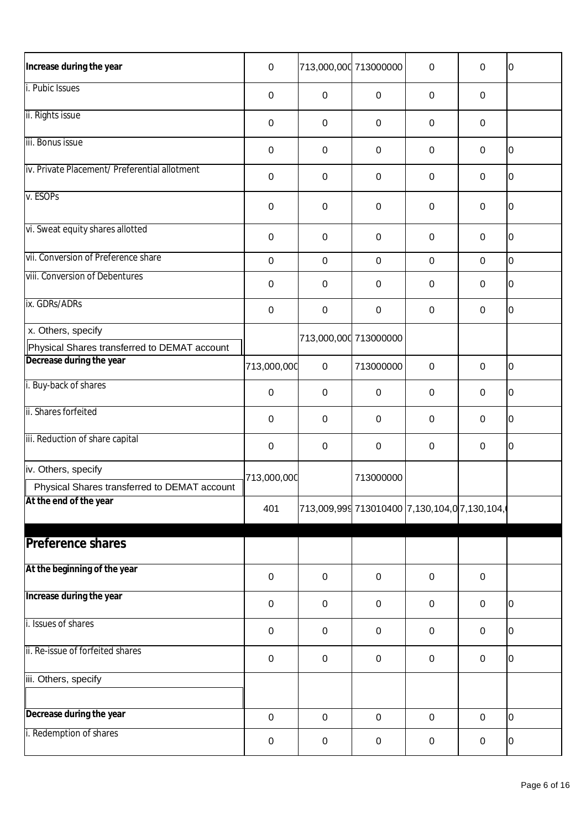| Increase during the year                                                 | $\boldsymbol{0}$ | 713,000,000 713000000                         |                  | $\mathbf 0$      | 0                | $\overline{0}$ |
|--------------------------------------------------------------------------|------------------|-----------------------------------------------|------------------|------------------|------------------|----------------|
| i. Pubic Issues                                                          | $\boldsymbol{0}$ | 0                                             | $\mathbf 0$      | $\mathbf 0$      | $\mathbf 0$      |                |
| ii. Rights issue                                                         | $\boldsymbol{0}$ | $\mathbf 0$                                   | $\pmb{0}$        | $\pmb{0}$        | $\mathbf 0$      |                |
| iii. Bonus issue                                                         | 0                | $\mathbf 0$                                   | $\mathbf 0$      | $\mathbf 0$      | 0                | $\overline{0}$ |
| iv. Private Placement/ Preferential allotment                            | $\boldsymbol{0}$ | $\mathbf 0$                                   | $\pmb{0}$        | $\mathbf 0$      | 0                | $\overline{0}$ |
| v. ESOPs                                                                 | $\mathbf 0$      | 0                                             | $\pmb{0}$        | $\mathbf 0$      | $\mathbf 0$      | $\overline{0}$ |
| vi. Sweat equity shares allotted                                         | $\mathbf 0$      | $\mathbf 0$                                   | $\pmb{0}$        | $\mathbf 0$      | $\pmb{0}$        | $\overline{0}$ |
| vii. Conversion of Preference share                                      | $\mathbf 0$      | $\mathbf 0$                                   | $\mathbf 0$      | $\pmb{0}$        | $\mathbf 0$      | O              |
| viii. Conversion of Debentures                                           | 0                | 0                                             | $\pmb{0}$        | $\mathbf 0$      | 0                | $\overline{0}$ |
| ix. GDRs/ADRs                                                            | $\boldsymbol{0}$ | $\pmb{0}$                                     | $\boldsymbol{0}$ | $\pmb{0}$        | $\boldsymbol{0}$ | $\overline{0}$ |
| x. Others, specify                                                       |                  | 713,000,000 713000000                         |                  |                  |                  |                |
| Physical Shares transferred to DEMAT account<br>Decrease during the year | 713,000,000      | $\pmb{0}$                                     | 713000000        | $\mathbf 0$      | 0                | $\overline{0}$ |
| i. Buy-back of shares                                                    | $\boldsymbol{0}$ | $\mathbf 0$                                   | $\pmb{0}$        | $\mathbf 0$      | $\boldsymbol{0}$ | $\overline{0}$ |
| ii. Shares forfeited                                                     | $\mathbf 0$      | 0                                             | $\pmb{0}$        | $\pmb{0}$        | 0                | $\overline{0}$ |
| iii. Reduction of share capital                                          | 0                | $\mathbf 0$                                   | $\boldsymbol{0}$ | $\pmb{0}$        | $\pmb{0}$        | $\overline{0}$ |
| iv. Others, specify                                                      |                  |                                               |                  |                  |                  |                |
| Physical Shares transferred to DEMAT account                             | 713,000,000      |                                               | 713000000        |                  |                  |                |
| At the end of the year                                                   | 401              | 1713,009,999 713010400 7,130,104,0 7,130,104, |                  |                  |                  |                |
| <b>Preference shares</b>                                                 |                  |                                               |                  |                  |                  |                |
| At the beginning of the year                                             | $\boldsymbol{0}$ | $\mathbf 0$                                   | $\pmb{0}$        | $\pmb{0}$        | $\mathbf 0$      |                |
| Increase during the year                                                 | $\boldsymbol{0}$ | $\mathbf 0$                                   | $\pmb{0}$        | $\pmb{0}$        | $\boldsymbol{0}$ | $\overline{0}$ |
| i. Issues of shares                                                      | $\boldsymbol{0}$ | $\mathbf 0$                                   | $\pmb{0}$        | $\pmb{0}$        | $\mathbf 0$      | $\overline{0}$ |
| ii. Re-issue of forfeited shares                                         |                  |                                               |                  |                  |                  |                |
|                                                                          | $\boldsymbol{0}$ | $\mathbf 0$                                   | $\pmb{0}$        | $\pmb{0}$        | $\pmb{0}$        | $\overline{0}$ |
| iii. Others, specify                                                     |                  |                                               |                  |                  |                  |                |
| Decrease during the year                                                 | $\pmb{0}$        | $\pmb{0}$                                     | $\pmb{0}$        | $\boldsymbol{0}$ | $\pmb{0}$        | $\overline{0}$ |
| i. Redemption of shares                                                  | $\pmb{0}$        | $\pmb{0}$                                     | $\pmb{0}$        | $\pmb{0}$        | $\pmb{0}$        | l0             |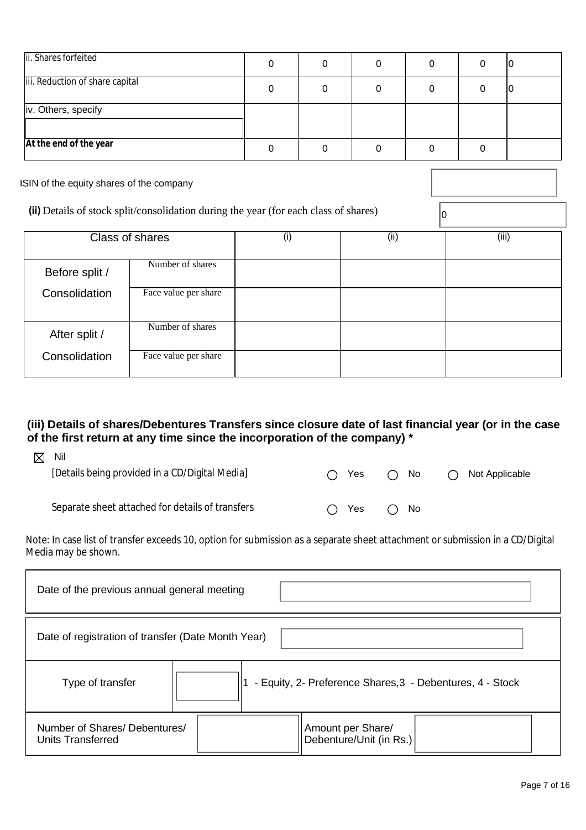| ii. Shares forfeited            |  |  |  |
|---------------------------------|--|--|--|
| iii. Reduction of share capital |  |  |  |
| iv. Others, specify             |  |  |  |
| At the end of the year          |  |  |  |

ISIN of the equity shares of the company

**(ii)** Details of stock split/consolidation during the year (for each class of shares)  $\begin{bmatrix} 0 \end{bmatrix}$ 

|                | Class of shares      | (i) | (ii) | (iii) |
|----------------|----------------------|-----|------|-------|
| Before split / | Number of shares     |     |      |       |
| Consolidation  | Face value per share |     |      |       |
| After split /  | Number of shares     |     |      |       |
| Consolidation  | Face value per share |     |      |       |

#### **(iii) Details of shares/Debentures Transfers since closure date of last financial year (or in the case of the first return at any time since the incorporation of the company) \***

| ⊠ | Nil                                              |              |              |                |
|---|--------------------------------------------------|--------------|--------------|----------------|
|   | [Details being provided in a CD/Digital Media]   | Yes<br>$($ ) | $\bigcap$ No | Not Applicable |
|   |                                                  |              |              |                |
|   | Separate sheet attached for details of transfers | Yes<br>$($ ) | $\bigcap$ No |                |

Note: In case list of transfer exceeds 10, option for submission as a separate sheet attachment or submission in a CD/Digital Media may be shown.

| Date of the previous annual general meeting        |                                                           |  |  |  |  |  |
|----------------------------------------------------|-----------------------------------------------------------|--|--|--|--|--|
| Date of registration of transfer (Date Month Year) |                                                           |  |  |  |  |  |
| Type of transfer                                   | - Equity, 2- Preference Shares, 3 - Debentures, 4 - Stock |  |  |  |  |  |
| Number of Shares/Debentures/<br>Units Transferred  | Amount per Share/<br>Debenture/Unit (in Rs.)              |  |  |  |  |  |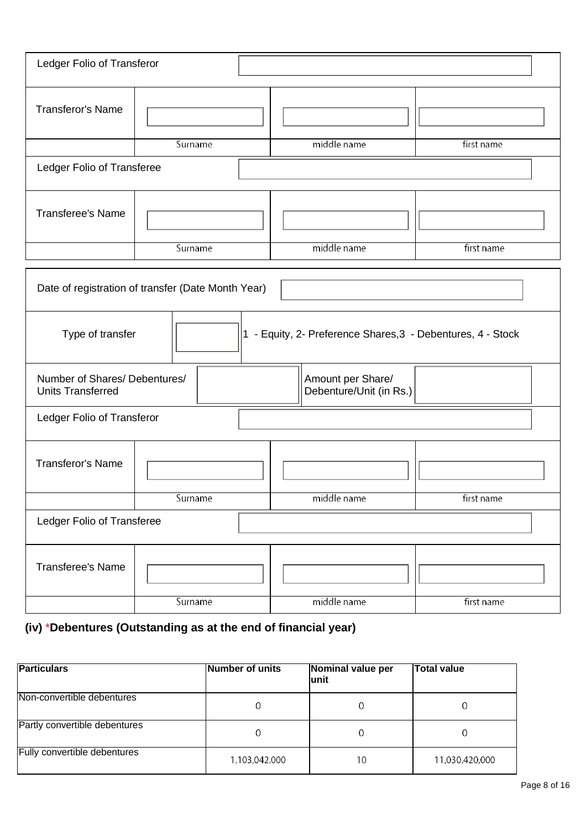| Ledger Folio of Transferor                                                      |         |                                              |            |  |  |  |  |
|---------------------------------------------------------------------------------|---------|----------------------------------------------|------------|--|--|--|--|
| <b>Transferor's Name</b>                                                        |         |                                              |            |  |  |  |  |
|                                                                                 | Surname | middle name                                  | first name |  |  |  |  |
| Ledger Folio of Transferee                                                      |         |                                              |            |  |  |  |  |
| <b>Transferee's Name</b>                                                        |         |                                              |            |  |  |  |  |
|                                                                                 | Surname | middle name                                  | first name |  |  |  |  |
| Date of registration of transfer (Date Month Year)                              |         |                                              |            |  |  |  |  |
| 1 - Equity, 2- Preference Shares, 3 - Debentures, 4 - Stock<br>Type of transfer |         |                                              |            |  |  |  |  |
| Number of Shares/ Debentures/<br><b>Units Transferred</b>                       |         | Amount per Share/<br>Debenture/Unit (in Rs.) |            |  |  |  |  |
| Ledger Folio of Transferor                                                      |         |                                              |            |  |  |  |  |
| <b>Transferor's Name</b>                                                        |         |                                              |            |  |  |  |  |
|                                                                                 | Surname | middle name                                  | first name |  |  |  |  |
| Ledger Folio of Transferee                                                      |         |                                              |            |  |  |  |  |
| <b>Transferee's Name</b>                                                        |         |                                              |            |  |  |  |  |
|                                                                                 | Surname | middle name                                  | first name |  |  |  |  |

# **(iv)** \***Debentures (Outstanding as at the end of financial year)**

| <b>Particulars</b>            | Number of units | Nominal value per<br>lunit | <b>Total value</b> |
|-------------------------------|-----------------|----------------------------|--------------------|
| Non-convertible debentures    | 0               | 0                          |                    |
| Partly convertible debentures | 0               | 0                          |                    |
| Fully convertible debentures  | 1,103,042,000   | 10                         | 11,030,420,000     |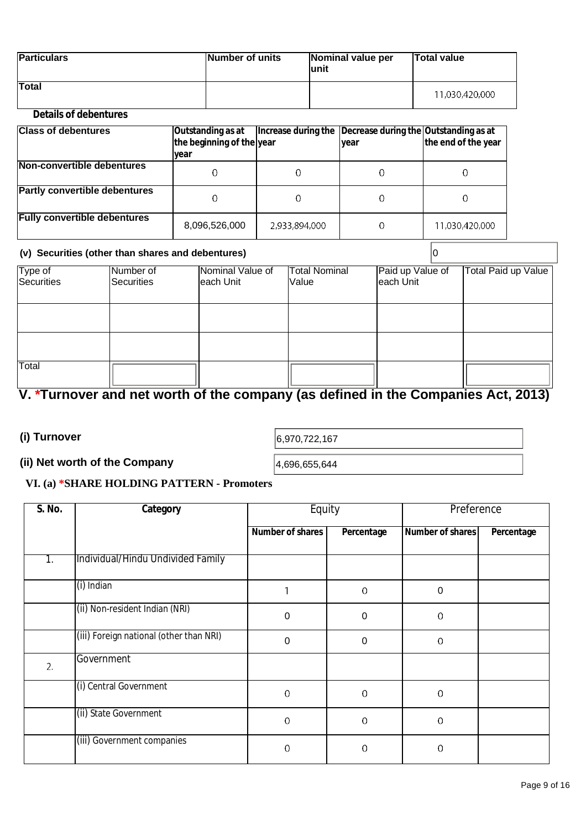| <b>Particulars</b> | Number of units | Nominal value per<br>lunit | <b>Total value</b> |
|--------------------|-----------------|----------------------------|--------------------|
| <b>Total</b>       |                 |                            | 11,030,420,000     |

#### **Details of debentures**

| <b>Class of debentures</b>           | Outstanding as at<br>the beginning of the year<br>lyear |               | Increase during the Decrease during the Outstanding as at<br>Iyear | the end of the year |
|--------------------------------------|---------------------------------------------------------|---------------|--------------------------------------------------------------------|---------------------|
| Non-convertible debentures           | O                                                       |               |                                                                    |                     |
| <b>Partly convertible debentures</b> | 0                                                       |               |                                                                    | 0                   |
| <b>Fully convertible debentures</b>  | 8,096,526,000                                           | 2,933,894,000 |                                                                    | 11,030,420,000      |

#### **(v) Securities (other than shares and debentures)** 0

| Type of<br>Securities | Number of<br>Securities | Nominal Value of<br>each Unit | <b>Total Nominal</b><br>Value | Paid up Value of<br>each Unit | Total Paid up Value |
|-----------------------|-------------------------|-------------------------------|-------------------------------|-------------------------------|---------------------|
|                       |                         |                               |                               |                               |                     |
|                       |                         |                               |                               |                               |                     |
|                       |                         |                               |                               |                               |                     |
| Total                 |                         |                               |                               |                               |                     |

# **V. \*Turnover and net worth of the company (as defined in the Companies Act, 2013)**

**(i) Turnover 6,970,722,167** 

### **(ii) Net worth of the Company**  $\vert_{4,696,655,644}$

#### **VI. (a) \*SHARE HOLDING PATTERN - Promoters**

| S. No. | Category                                | Equity                  |                  | Preference              |            |
|--------|-----------------------------------------|-------------------------|------------------|-------------------------|------------|
|        |                                         | <b>Number of shares</b> | Percentage       | <b>Number of shares</b> | Percentage |
| 1.     | Individual/Hindu Undivided Family       |                         |                  |                         |            |
|        | (i) Indian                              |                         | 0                | 0                       |            |
|        | (ii) Non-resident Indian (NRI)          | 0                       | $\Omega$         | 0                       |            |
|        | (iii) Foreign national (other than NRI) | 0                       | $\boldsymbol{0}$ | 0                       |            |
| 2.     | Government                              |                         |                  |                         |            |
|        | (i) Central Government                  | $\overline{0}$          | 0                | 0                       |            |
|        | (ii) State Government                   | 0                       | 0                | 0                       |            |
|        | (iii) Government companies              | $\Omega$                | $\mathbf 0$      | 0                       |            |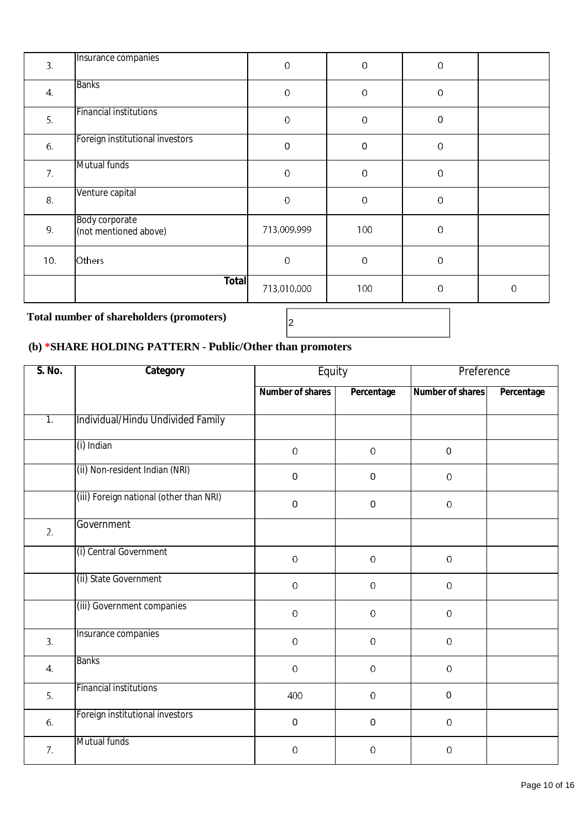| 3.  | Insurance companies                     | $\mathbf 0$ | $\mathbbm{C}$    | $\mathbf 0$ |             |
|-----|-----------------------------------------|-------------|------------------|-------------|-------------|
| 4.  | <b>Banks</b>                            | $\mathbf 0$ | $\mathbf 0$      | $\mathbf 0$ |             |
| 5.  | <b>Financial institutions</b>           | $\mathbf 0$ | $\mathbf 0$      | 0           |             |
| 6.  | Foreign institutional investors         | $\mathbf 0$ | $\boldsymbol{0}$ | $\mathbf 0$ |             |
| 7.  | Mutual funds                            | $\mathbf 0$ | $\mathbf 0$      | $\mathbf 0$ |             |
| 8.  | Venture capital                         | $\mathbf 0$ | $\mathbf 0$      | $\mathbf 0$ |             |
| 9.  | Body corporate<br>(not mentioned above) | 713,009,999 | 100              | $\mathbf 0$ |             |
| 10. | Others                                  | $\mathbf 0$ | $\mathbf 0$      | $\mathbf 0$ |             |
|     | <b>Total</b>                            | 713,010,000 | 100              | $\mathbf 0$ | $\mathbf 0$ |

# **Total number of shareholders (promoters)** <sup>2</sup>

# **(b) \*SHARE HOLDING PATTERN - Public/Other than promoters**

| S. No.           | Category                                | Equity                  |             | Preference       |            |
|------------------|-----------------------------------------|-------------------------|-------------|------------------|------------|
|                  |                                         | <b>Number of shares</b> | Percentage  | Number of shares | Percentage |
| $\overline{1}$ . | Individual/Hindu Undivided Family       |                         |             |                  |            |
|                  | (i) Indian                              | $\pmb{0}$               | $\mathbf 0$ | $\boldsymbol{0}$ |            |
|                  | (ii) Non-resident Indian (NRI)          | $\mathbf 0$             | $\pmb{0}$   | $\mathbf 0$      |            |
|                  | (iii) Foreign national (other than NRI) | $\pmb{0}$               | $\mathsf 0$ | $\mathbf 0$      |            |
| 2.               | Government                              |                         |             |                  |            |
|                  | (i) Central Government                  | $\mathbf 0$             | $\mathbf 0$ | $\mathbf 0$      |            |
|                  | (ii) State Government                   | $\boldsymbol{0}$        | $\mathbf 0$ | $\mathbf 0$      |            |
|                  | (iii) Government companies              | $\mathbf 0$             | $\mathbf 0$ | $\mathbf 0$      |            |
| 3.               | Insurance companies                     | $\mathbf 0$             | $\mathbf 0$ | $\mathbf 0$      |            |
| 4.               | <b>Banks</b>                            | $\mathbf 0$             | $\mathbf 0$ | $\mathbf 0$      |            |
| 5.               | <b>Financial institutions</b>           | 400                     | $\pmb{0}$   | $\mathbf 0$      |            |
| 6.               | Foreign institutional investors         | $\pmb{0}$               | $\pmb{0}$   | $\mathbf 0$      |            |
| 7.               | Mutual funds                            | $\bf{0}$                | $\bf{0}$    | $\mathbf 0$      |            |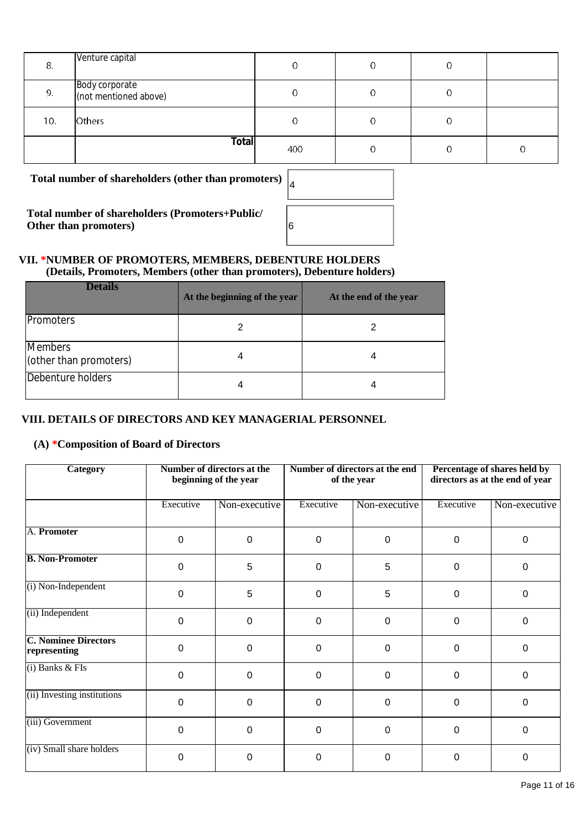| 8.  | Venture capital                         |     | 0 |  |
|-----|-----------------------------------------|-----|---|--|
| 9.  | Body corporate<br>(not mentioned above) |     | 0 |  |
| 10. | <b>Others</b>                           |     |   |  |
|     | <b>Total</b>                            | 400 | 0 |  |

**Total number of shareholders (other than promoters)** <sup>4</sup>

**Total number of shareholders (Promoters+Public/ Other than promoters**)

| 4 |  |
|---|--|
| 6 |  |
|   |  |

#### **VII. \*NUMBER OF PROMOTERS, MEMBERS, DEBENTURE HOLDERS (Details, Promoters, Members (other than promoters), Debenture holders)**

| <b>Details</b>                    | At the beginning of the year | At the end of the year |
|-----------------------------------|------------------------------|------------------------|
| <b>Promoters</b>                  |                              |                        |
| Members<br>(other than promoters) |                              |                        |
| Debenture holders                 |                              |                        |

#### **VIII. DETAILS OF DIRECTORS AND KEY MANAGERIAL PERSONNEL**

#### **(A) \*Composition of Board of Directors**

| <b>Category</b>                             | Number of directors at the<br>beginning of the year |               | Number of directors at the end<br>of the year |               | Percentage of shares held by<br>directors as at the end of year |               |
|---------------------------------------------|-----------------------------------------------------|---------------|-----------------------------------------------|---------------|-----------------------------------------------------------------|---------------|
|                                             | Executive                                           | Non-executive | Executive                                     | Non-executive | Executive                                                       | Non-executive |
| A. Promoter                                 | $\Omega$                                            | 0             | $\Omega$                                      | $\Omega$      | $\Omega$                                                        | $\Omega$      |
| <b>B. Non-Promoter</b>                      | $\Omega$                                            | 5             | $\Omega$                                      | 5             | $\mathbf 0$                                                     | $\Omega$      |
| (i) Non-Independent                         | $\Omega$                                            | 5             | $\Omega$                                      | 5             | $\mathbf 0$                                                     | $\Omega$      |
| (ii) Independent                            | $\Omega$                                            | 0             | $\Omega$                                      | 0             | $\mathbf 0$                                                     | $\Omega$      |
| <b>C. Nominee Directors</b><br>representing | $\Omega$                                            | $\mathbf 0$   | $\Omega$                                      | $\Omega$      | $\Omega$                                                        | $\Omega$      |
| $(i)$ Banks $&$ FIs                         | $\Omega$                                            | 0             | 0                                             | $\mathbf 0$   | $\mathbf 0$                                                     | 0             |
| (ii) Investing institutions                 | $\Omega$                                            | $\Omega$      | $\Omega$                                      | $\Omega$      | $\Omega$                                                        | $\Omega$      |
| (iii) Government                            | $\Omega$                                            | $\mathbf 0$   | $\Omega$                                      | $\Omega$      | $\Omega$                                                        | $\Omega$      |
| (iv) Small share holders                    | $\Omega$                                            | 0             | 0                                             | 0             | 0                                                               | 0             |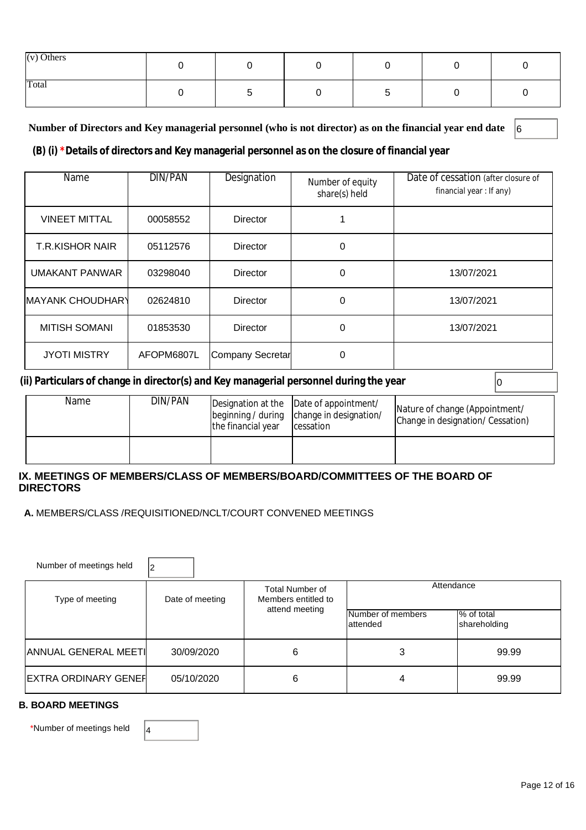| $(v)$ Others |  |  |  |
|--------------|--|--|--|
| Total        |  |  |  |

#### **Number of Directors and Key managerial personnel (who is not director) as on the financial year end date** 6

#### **(B) (i) \*Details of directors and Key managerial personnel as on the closure of financial year**

| Name                    | DIN/PAN    | Designation      | Number of equity<br>share(s) held | Date of cessation (after closure of<br>financial year: If any) |
|-------------------------|------------|------------------|-----------------------------------|----------------------------------------------------------------|
| <b>VINEET MITTAL</b>    | 00058552   | <b>Director</b>  |                                   |                                                                |
| <b>T.R.KISHOR NAIR</b>  | 05112576   | <b>Director</b>  | 0                                 |                                                                |
| <b>UMAKANT PANWAR</b>   | 03298040   | <b>Director</b>  | 0                                 | 13/07/2021                                                     |
| <b>MAYANK CHOUDHARY</b> | 02624810   | Director         | $\Omega$                          | 13/07/2021                                                     |
| <b>MITISH SOMANI</b>    | 01853530   | <b>Director</b>  | 0                                 | 13/07/2021                                                     |
| <b>JYOTI MISTRY</b>     | AFOPM6807L | Company Secretar | 0                                 |                                                                |

#### **(ii) Particulars of change in director(s) and Key managerial personnel during the year** 0

| Name | DIN/PAN | the financial year | Designation at the Date of appointment/<br>beginning / during change in designation/<br>cessation | Nature of change (Appointment/<br>Change in designation/ Cessation) |
|------|---------|--------------------|---------------------------------------------------------------------------------------------------|---------------------------------------------------------------------|
|      |         |                    |                                                                                                   |                                                                     |

#### **IX. MEETINGS OF MEMBERS/CLASS OF MEMBERS/BOARD/COMMITTEES OF THE BOARD OF DIRECTORS**

 **A.** MEMBERS/CLASS /REQUISITIONED/NCLT/COURT CONVENED MEETINGS

| Number of meetings held       | 12              |                                                                 |                                |                            |  |
|-------------------------------|-----------------|-----------------------------------------------------------------|--------------------------------|----------------------------|--|
| Type of meeting               | Date of meeting | <b>Total Number of</b><br>Members entitled to<br>attend meeting | Attendance                     |                            |  |
|                               |                 |                                                                 | Number of members<br>lattended | % of total<br>shareholding |  |
| <b>ANNUAL GENERAL MEETI</b>   | 30/09/2020      | 6                                                               | 3                              | 99.99                      |  |
| <b>IEXTRA ORDINARY GENEFI</b> | 05/10/2020      | 6                                                               | 4                              | 99.99                      |  |

#### **B. BOARD MEETINGS**

\*Number of meetings held  $\vert_4$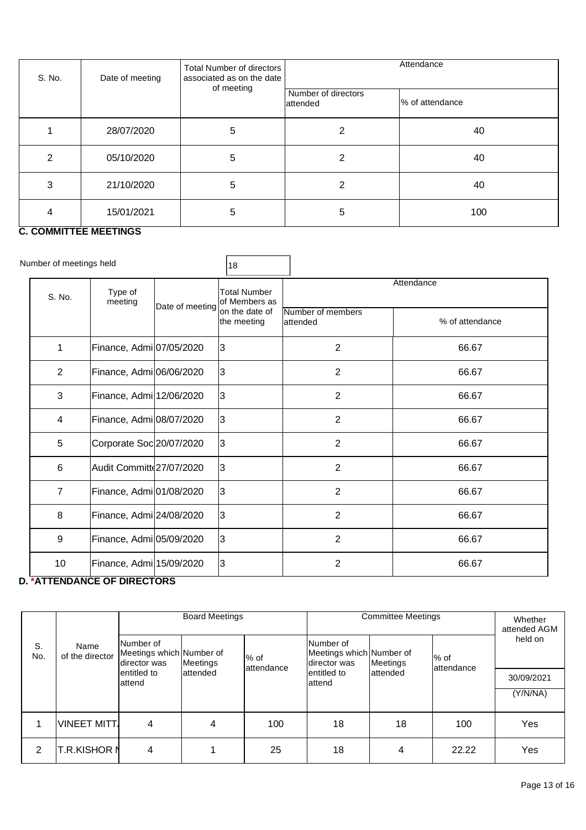| S. No. | Date of meeting | Total Number of directors<br>associated as on the date | Attendance                      |                 |  |
|--------|-----------------|--------------------------------------------------------|---------------------------------|-----------------|--|
|        |                 | of meeting                                             | Number of directors<br>attended | % of attendance |  |
|        | 28/07/2020      | 5                                                      | 2                               | 40              |  |
| 2      | 05/10/2020      | 5                                                      | 2                               | 40              |  |
| 3      | 21/10/2020      | 5                                                      | 2                               | 40              |  |
| 4      | 15/01/2021      | 5                                                      | 5                               | 100             |  |

### **C. COMMITTEE MEETINGS**

| Number of meetings held |                |                                                    |                               | 18                             |                               |                 |  |
|-------------------------|----------------|----------------------------------------------------|-------------------------------|--------------------------------|-------------------------------|-----------------|--|
|                         | S. No.         | Type of<br>meeting<br>Date of meeting              | Total Number<br>of Members as | Attendance                     |                               |                 |  |
|                         |                |                                                    |                               | lon the date of<br>the meeting | Number of members<br>attended | % of attendance |  |
|                         | 1              | Finance, Admi 07/05/2020                           |                               | 3                              | $\overline{2}$                | 66.67           |  |
|                         | $\overline{2}$ | Finance, Admi <sup>1</sup> 06/06/2020              |                               | IЗ                             | $\overline{2}$                | 66.67           |  |
|                         | 3              | Finance, Admi 12/06/2020                           |                               | 3                              | $\overline{2}$                | 66.67           |  |
|                         | 4              | Finance, Admi 08/07/2020                           |                               | 3                              | $\overline{2}$                | 66.67           |  |
|                         | 5              | Corporate Soc 20/07/2020                           |                               | 3                              | $\overline{2}$                | 66.67           |  |
|                         | 6              | Audit Committe 27/07/2020                          |                               | IЗ                             | $\overline{2}$                | 66.67           |  |
|                         | $\overline{7}$ | Finance, Admi <sup>1</sup> 01/08/2020              |                               | 3                              | $\overline{2}$                | 66.67           |  |
|                         | 8              | Finance, Admi 24/08/2020                           |                               | 3                              | $\overline{2}$                | 66.67           |  |
|                         | 9              | Finance, Admi 05/09/2020                           |                               | 3                              | $\overline{2}$                | 66.67           |  |
|                         | 10             | Finance, Admi 15/09/2020<br>TTEURANAE AF RIBEATARA |                               | IЗ                             | $\overline{2}$                | 66.67           |  |

#### **D. \*ATTENDANCE OF DIRECTORS**

|           |                         | <b>Board Meetings</b>                                 |           |                     | <b>Committee Meetings</b>                             |           |                      | Whether<br>attended AGM |
|-----------|-------------------------|-------------------------------------------------------|-----------|---------------------|-------------------------------------------------------|-----------|----------------------|-------------------------|
| S.<br>No. | Name<br>of the director | Number of<br>Meetings which Number of<br>director was | Meetings  | % of<br>lattendance | Number of<br>Meetings which Number of<br>director was | Meetings  | l% of<br>lattendance | held on                 |
|           |                         | entitled to<br>lattend                                | lattended |                     | entitled to<br>lattend                                | lattended |                      | 30/09/2021              |
|           |                         |                                                       |           |                     |                                                       |           |                      | (Y/N/NA)                |
|           | VINEET MITT.            | 4                                                     | 4         | 100                 | 18                                                    | 18        | 100                  | Yes                     |
| 2         | <b>T.R.KISHOR N</b>     | 4                                                     |           | 25                  | 18                                                    | 4         | 22.22                | Yes                     |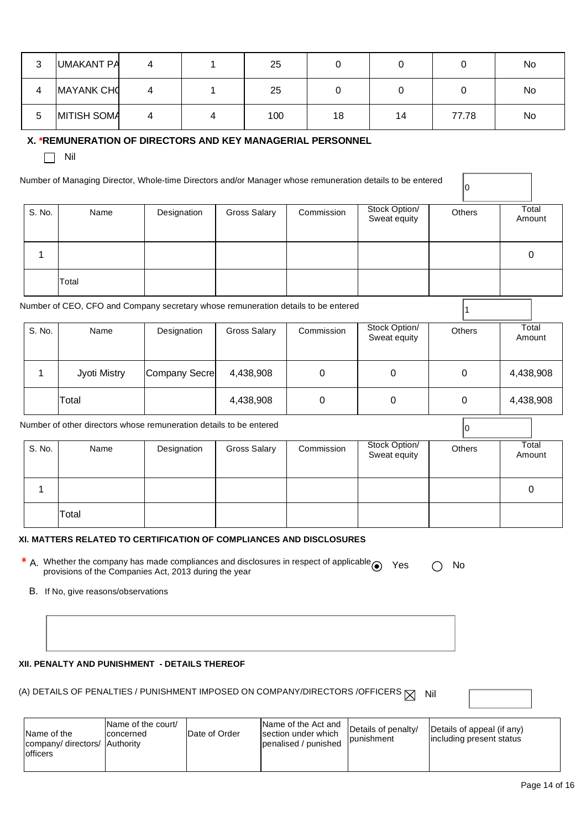| າ<br>ບ | UMAKANT PA         |   | 25  |    |    |       | No |
|--------|--------------------|---|-----|----|----|-------|----|
| 4      | MAYANK CHO         |   | 25  |    |    |       | No |
| 5      | <b>MITISH SOMA</b> | 4 | 100 | 18 | 14 | 77.78 | No |

#### **X. \*REMUNERATION OF DIRECTORS AND KEY MANAGERIAL PERSONNEL**

 $\Box$  Nil

Number of Managing Director, Whole-time Directors and/or Manager whose remuneration details to be entered

| S. No. | Name  | Designation | Gross Salary | Commission | Stock Option/<br>Sweat equity | Others | Total<br>Amount |
|--------|-------|-------------|--------------|------------|-------------------------------|--------|-----------------|
|        |       |             |              |            |                               |        |                 |
|        |       |             |              |            |                               |        |                 |
|        | Total |             |              |            |                               |        |                 |

0

Number of CEO, CFO and Company secretary whose remuneration details to be entered  $\vert$ <sup>1</sup>

| S. No. |  | Name         | Designation   | Gross Salary<br>Commission |   | Stock Option/<br>Sweat equity | <b>Others</b> | Total<br>Amount |
|--------|--|--------------|---------------|----------------------------|---|-------------------------------|---------------|-----------------|
|        |  | Jyoti Mistry | Company Secre | 4,438,908                  | 0 | 0                             |               | 4,438,908       |
|        |  | Total        |               | 4,438,908                  | 0 | O                             |               | 4,438,908       |

Number of other directors whose remuneration details to be entered  $\Big|_0$ 

| S. No. | Name  | Designation | Gross Salary | Commission | Stock Option/<br>Sweat equity | Others | Total<br>Amount |
|--------|-------|-------------|--------------|------------|-------------------------------|--------|-----------------|
|        |       |             |              |            |                               |        | 0               |
|        | Total |             |              |            |                               |        |                 |

#### **XI. MATTERS RELATED TO CERTIFICATION OF COMPLIANCES AND DISCLOSURES**

- \* A. Whether the company has made compliances and disclosures in respect of applicable  $\bigcirc$  Yes  $\bigcirc$  No<br>provisions of the Companies Act, 2013 during the year
	- B. If No, give reasons/observations

#### **XII. PENALTY AND PUNISHMENT - DETAILS THEREOF**

(A) DETAILS OF PENALTIES / PUNISHMENT IMPOSED ON COMPANY/DIRECTORS /OFFICERS  $\boxtimes$  Nil

| Name of the<br>company/ directors/   Authority<br>officers | Name of the court/<br><b>Iconcerned</b> | Date of Order | Name of the Act and<br>section under which<br>penalised / punished | Details of penalty/<br><b>punishment</b> | Details of appeal (if any)<br>lincluding present status |
|------------------------------------------------------------|-----------------------------------------|---------------|--------------------------------------------------------------------|------------------------------------------|---------------------------------------------------------|
|                                                            |                                         |               |                                                                    |                                          |                                                         |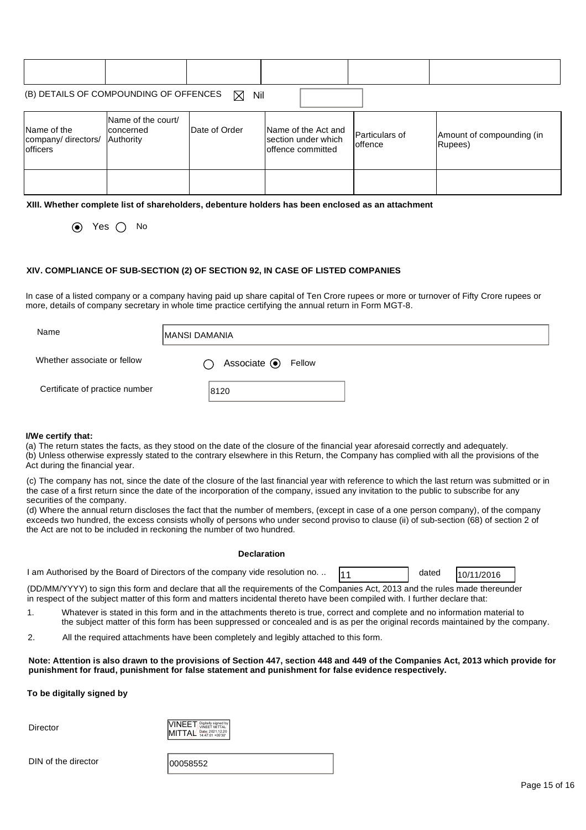|                                                        | (B) DETAILS OF COMPOUNDING OF OFFENCES<br>Nil<br>$\boxtimes$ |               |                                                                   |                                    |                                      |  |  |  |  |
|--------------------------------------------------------|--------------------------------------------------------------|---------------|-------------------------------------------------------------------|------------------------------------|--------------------------------------|--|--|--|--|
| Name of the<br>company/directors/<br><b>l</b> officers | Name of the court/<br>Iconcerned<br>Authority                | Date of Order | Name of the Act and<br>Isection under which<br>Ioffence committed | <b>IParticulars of</b><br>Ioffence | Amount of compounding (in<br>Rupees) |  |  |  |  |
|                                                        |                                                              |               |                                                                   |                                    |                                      |  |  |  |  |

**XIII. Whether complete list of shareholders, debenture holders has been enclosed as an attachment** 

 $\odot$  Yes  $\odot$  No

#### **XIV. COMPLIANCE OF SUB-SECTION (2) OF SECTION 92, IN CASE OF LISTED COMPANIES**

In case of a listed company or a company having paid up share capital of Ten Crore rupees or more or turnover of Fifty Crore rupees or more, details of company secretary in whole time practice certifying the annual return in Form MGT-8.

| Name                           | <b>MANSI DAMANIA</b>                 |  |  |  |  |
|--------------------------------|--------------------------------------|--|--|--|--|
| Whether associate or fellow    | Associate <sup>O</sup> Fellow<br>( ) |  |  |  |  |
| Certificate of practice number | 8120                                 |  |  |  |  |

#### **I/We certify that:**

(a) The return states the facts, as they stood on the date of the closure of the financial year aforesaid correctly and adequately. (b) Unless otherwise expressly stated to the contrary elsewhere in this Return, the Company has complied with all the provisions of the Act during the financial year.

(c) The company has not, since the date of the closure of the last financial year with reference to which the last return was submitted or in the case of a first return since the date of the incorporation of the company, issued any invitation to the public to subscribe for any securities of the company.

(d) Where the annual return discloses the fact that the number of members, (except in case of a one person company), of the company exceeds two hundred, the excess consists wholly of persons who under second proviso to clause (ii) of sub-section (68) of section 2 of the Act are not to be included in reckoning the number of two hundred.

#### **Declaration**

| I am Authorised by the Board of Directors of the company vide resolution no |  | dated | 10/11/2016 |  |
|-----------------------------------------------------------------------------|--|-------|------------|--|
|-----------------------------------------------------------------------------|--|-------|------------|--|

(DD/MM/YYYY) to sign this form and declare that all the requirements of the Companies Act, 2013 and the rules made thereunder in respect of the subject matter of this form and matters incidental thereto have been compiled with. I further declare that:

- 1. Whatever is stated in this form and in the attachments thereto is true, correct and complete and no information material to the subject matter of this form has been suppressed or concealed and is as per the original records maintained by the company.
- 2. All the required attachments have been completely and legibly attached to this form.

#### **Note: Attention is also drawn to the provisions of Section 447, section 448 and 449 of the Companies Act, 2013 which provide for punishment for fraud, punishment for false statement and punishment for false evidence respectively.**

#### **To be digitally signed by**

**Director** 



DIN of the director

| 100058552 |
|-----------|
|-----------|